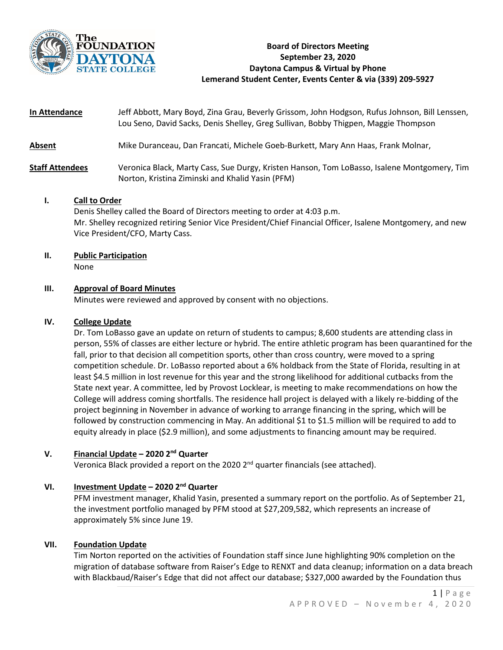

## **Board of Directors Meeting September 23, 2020 Daytona Campus & Virtual by Phone Lemerand Student Center, Events Center & via (339) 209-5927**

# **In Attendance** Jeff Abbott, Mary Boyd, Zina Grau, Beverly Grissom, John Hodgson, Rufus Johnson, Bill Lenssen, Lou Seno, David Sacks, Denis Shelley, Greg Sullivan, Bobby Thigpen, Maggie Thompson

### **Absent** Mike Duranceau, Dan Francati, Michele Goeb-Burkett, Mary Ann Haas, Frank Molnar,

## **Staff Attendees** Veronica Black, Marty Cass, Sue Durgy, Kristen Hanson, Tom LoBasso, Isalene Montgomery, Tim Norton, Kristina Ziminski and Khalid Yasin (PFM)

#### **I. Call to Order**

Denis Shelley called the Board of Directors meeting to order at 4:03 p.m. Mr. Shelley recognized retiring Senior Vice President/Chief Financial Officer, Isalene Montgomery, and new Vice President/CFO, Marty Cass.

#### **II. Public Participation**

None

#### **III. Approval of Board Minutes**

Minutes were reviewed and approved by consent with no objections.

#### **IV. College Update**

Dr. Tom LoBasso gave an update on return of students to campus; 8,600 students are attending class in person, 55% of classes are either lecture or hybrid. The entire athletic program has been quarantined for the fall, prior to that decision all competition sports, other than cross country, were moved to a spring competition schedule. Dr. LoBasso reported about a 6% holdback from the State of Florida, resulting in at least \$4.5 million in lost revenue for this year and the strong likelihood for additional cutbacks from the State next year. A committee, led by Provost Locklear, is meeting to make recommendations on how the College will address coming shortfalls. The residence hall project is delayed with a likely re-bidding of the project beginning in November in advance of working to arrange financing in the spring, which will be followed by construction commencing in May. An additional \$1 to \$1.5 million will be required to add to equity already in place (\$2.9 million), and some adjustments to financing amount may be required.

#### **V. Financial Update – 2020 2nd Quarter**

Veronica Black provided a report on the 2020 2<sup>nd</sup> quarter financials (see attached).

#### **VI. Investment Update – 2020 2nd Quarter**

PFM investment manager, Khalid Yasin, presented a summary report on the portfolio. As of September 21, the investment portfolio managed by PFM stood at \$27,209,582, which represents an increase of approximately 5% since June 19.

#### **VII. Foundation Update**

Tim Norton reported on the activities of Foundation staff since June highlighting 90% completion on the migration of database software from Raiser's Edge to RENXT and data cleanup; information on a data breach with Blackbaud/Raiser's Edge that did not affect our database; \$327,000 awarded by the Foundation thus